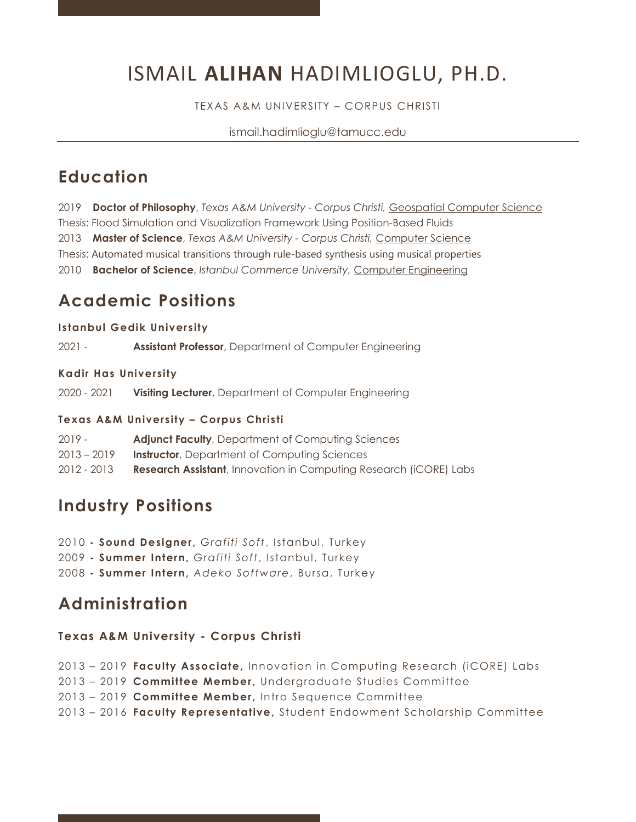# ISMAIL **ALIHAN** HADIMLIOGLU, PH.D.

TEXAS A&M UNIVERSITY – CORPUS CHRISTI

ismail.hadimlioglu@tamucc.edu

### **Education**

2019 **Doctor of Philosophy**, *Texas A&M University - Corpus Christi,* Geospatial Computer Science Thesis: Flood Simulation and Visualization Framework Using Position-Based Fluids 2013 **Master of Science**, *Texas A&M University - Corpus Christi,* Computer Science Thesis: Automated musical transitions through rule-based synthesis using musical properties 2010 **Bachelor of Science**, *Istanbul Commerce University,* Computer Engineering

## **Academic Positions**

#### **Istanbul Gedik University**

2021 - **Assistant Professor**, Department of Computer Engineering

#### **Kadir Has University**

2020 - 2021 **Visiting Lecturer**, Department of Computer Engineering

#### **Texas A&M University – Corpus Christi**

| 2019 -      | <b>Adjunct Faculty, Department of Computing Sciences</b>                  |
|-------------|---------------------------------------------------------------------------|
| 2013 – 2019 | <b>Instructor</b> , Department of Computing Sciences                      |
| 2012 - 2013 | <b>Research Assistant</b> , Innovation in Computing Research (iCORE) Labs |

### **Industry Positions**

2010 **- Sound Designer,** *Grafiti Soft*, Istanbul, Turkey 2009 **- Summer Intern,** *Grafiti Soft*, Istanbul, Turkey

2008 **- Summer Intern,** *Adeko Software*, Bursa, Turkey

### **Administration**

#### **Texas A&M University - Corpus Christi**

 – 2019 **Faculty Associate,** Innovation in Computing Research (iCORE) Labs – 2019 **Committee Member,** Undergraduate Studies Committee – 2019 **Committee Member,** Intro Sequence Committee – 2016 **Faculty Representative,** Student Endowment Scholarship Committee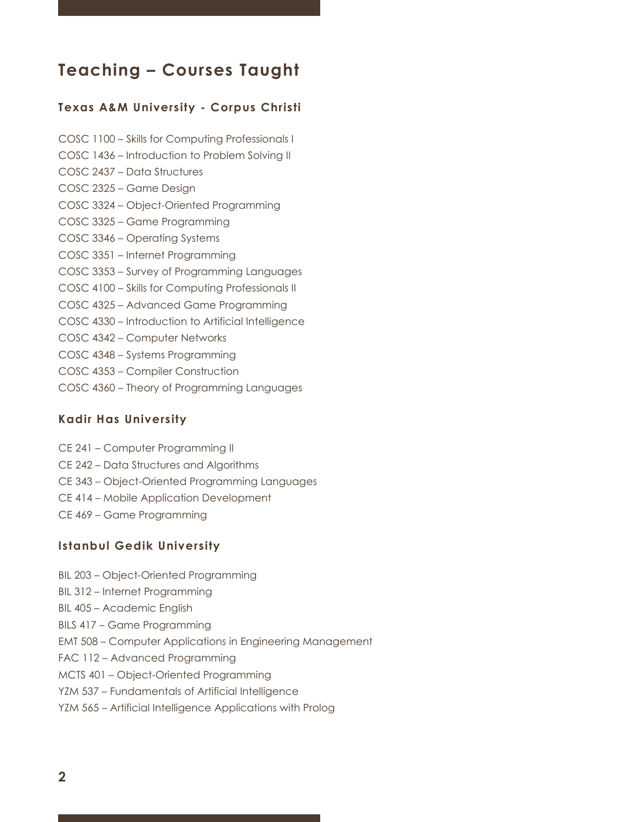### **Teaching – Courses Taught**

#### **Texas A&M University - Corpus Christi**

COSC 1100 – Skills for Computing Professionals I COSC 1436 – Introduction to Problem Solving II COSC 2437 – Data Structures COSC 2325 – Game Design COSC 3324 – Object-Oriented Programming COSC 3325 – Game Programming COSC 3346 – Operating Systems COSC 3351 – Internet Programming COSC 3353 – Survey of Programming Languages COSC 4100 – Skills for Computing Professionals II COSC 4325 – Advanced Game Programming COSC 4330 – Introduction to Artificial Intelligence COSC 4342 – Computer Networks COSC 4348 – Systems Programming COSC 4353 – Compiler Construction COSC 4360 – Theory of Programming Languages

#### **Kadir Has University**

- CE 241 Computer Programming II
- CE 242 Data Structures and Algorithms
- CE 343 Object-Oriented Programming Languages
- CE 414 Mobile Application Development
- CE 469 Game Programming

#### **Istanbul Gedik University**

- BIL 203 Object-Oriented Programming
- BIL 312 Internet Programming
- BIL 405 Academic English
- BILS 417 Game Programming
- EMT 508 Computer Applications in Engineering Management
- FAC 112 Advanced Programming
- MCTS 401 Object-Oriented Programming
- YZM 537 Fundamentals of Artificial Intelligence
- YZM 565 Artificial Intelligence Applications with Prolog